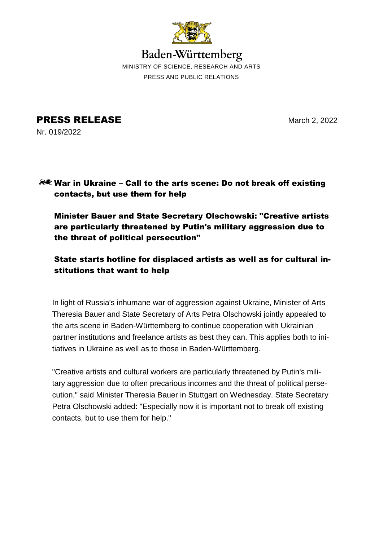

Baden-Württemberg MINISTRY OF SCIENCE, RESEARCH AND ARTS PRESS AND PUBLIC RELATIONS

**PRESS RELEASE** March 2, 2022 Nr. 019/2022

# **RUE War in Ukraine – Call to the arts scene: Do not break off existing** contacts, but use them for help

Minister Bauer and State Secretary Olschowski: "Creative artists are particularly threatened by Putin's military aggression due to the threat of political persecution"

# State starts hotline for displaced artists as well as for cultural institutions that want to help

In light of Russia's inhumane war of aggression against Ukraine, Minister of Arts Theresia Bauer and State Secretary of Arts Petra Olschowski jointly appealed to the arts scene in Baden-Württemberg to continue cooperation with Ukrainian partner institutions and freelance artists as best they can. This applies both to initiatives in Ukraine as well as to those in Baden-Württemberg.

"Creative artists and cultural workers are particularly threatened by Putin's military aggression due to often precarious incomes and the threat of political persecution," said Minister Theresia Bauer in Stuttgart on Wednesday. State Secretary Petra Olschowski added: "Especially now it is important not to break off existing contacts, but to use them for help."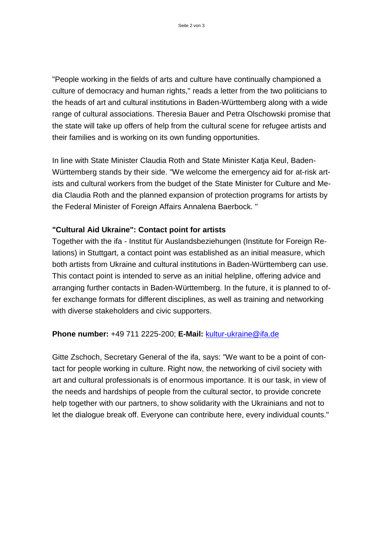"People working in the fields of arts and culture have continually championed a culture of democracy and human rights," reads a letter from the two politicians to the heads of art and cultural institutions in Baden-Württemberg along with a wide range of cultural associations. Theresia Bauer and Petra Olschowski promise that the state will take up offers of help from the cultural scene for refugee artists and their families and is working on its own funding opportunities.

In line with State Minister Claudia Roth and State Minister Katja Keul, Baden-Württemberg stands by their side. "We welcome the emergency aid for at-risk artists and cultural workers from the budget of the State Minister for Culture and Media Claudia Roth and the planned expansion of protection programs for artists by the Federal Minister of Foreign Affairs Annalena Baerbock. "

## **"Cultural Aid Ukraine": Contact point for artists**

Together with the ifa - Institut für Auslandsbeziehungen (Institute for Foreign Relations) in Stuttgart, a contact point was established as an initial measure, which both artists from Ukraine and cultural institutions in Baden-Württemberg can use. This contact point is intended to serve as an initial helpline, offering advice and arranging further contacts in Baden-Württemberg. In the future, it is planned to offer exchange formats for different disciplines, as well as training and networking with diverse stakeholders and civic supporters.

## **Phone number:** +49 711 2225-200; **E-Mail:** [kultur-ukraine@ifa.de](mailto:kultur-ukraine@ifa.de)

Gitte Zschoch, Secretary General of the ifa, says: "We want to be a point of contact for people working in culture. Right now, the networking of civil society with art and cultural professionals is of enormous importance. It is our task, in view of the needs and hardships of people from the cultural sector, to provide concrete help together with our partners, to show solidarity with the Ukrainians and not to let the dialogue break off. Everyone can contribute here, every individual counts."